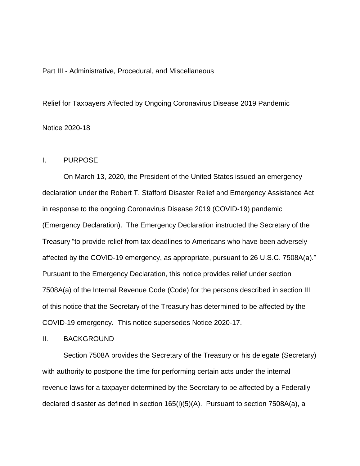# Part III - Administrative, Procedural, and Miscellaneous

Relief for Taxpayers Affected by Ongoing Coronavirus Disease 2019 Pandemic Notice 2020-18

# I. PURPOSE

On March 13, 2020, the President of the United States issued an emergency declaration under the Robert T. Stafford Disaster Relief and Emergency Assistance Act in response to the ongoing Coronavirus Disease 2019 (COVID-19) pandemic (Emergency Declaration). The Emergency Declaration instructed the Secretary of the Treasury "to provide relief from tax deadlines to Americans who have been adversely affected by the COVID-19 emergency, as appropriate, pursuant to 26 U.S.C. 7508A(a)." Pursuant to the Emergency Declaration, this notice provides relief under section 7508A(a) of the Internal Revenue Code (Code) for the persons described in section III of this notice that the Secretary of the Treasury has determined to be affected by the COVID-19 emergency. This notice supersedes Notice 2020-17.

# II. BACKGROUND

Section 7508A provides the Secretary of the Treasury or his delegate (Secretary) with authority to postpone the time for performing certain acts under the internal revenue laws for a taxpayer determined by the Secretary to be affected by a Federally declared disaster as defined in section 165(i)(5)(A). Pursuant to section 7508A(a), a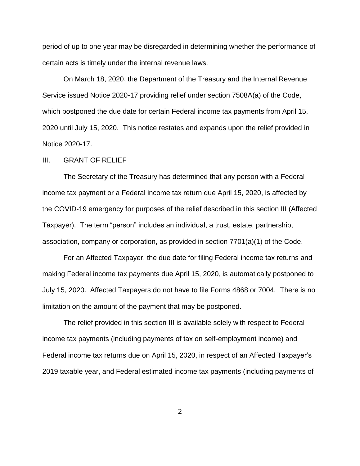period of up to one year may be disregarded in determining whether the performance of certain acts is timely under the internal revenue laws.

On March 18, 2020, the Department of the Treasury and the Internal Revenue Service issued Notice 2020-17 providing relief under section 7508A(a) of the Code, which postponed the due date for certain Federal income tax payments from April 15, 2020 until July 15, 2020. This notice restates and expands upon the relief provided in Notice 2020-17.

#### III. GRANT OF RELIEF

The Secretary of the Treasury has determined that any person with a Federal income tax payment or a Federal income tax return due April 15, 2020, is affected by the COVID-19 emergency for purposes of the relief described in this section III (Affected Taxpayer). The term "person" includes an individual, a trust, estate, partnership, association, company or corporation, as provided in section 7701(a)(1) of the Code.

For an Affected Taxpayer, the due date for filing Federal income tax returns and making Federal income tax payments due April 15, 2020, is automatically postponed to July 15, 2020. Affected Taxpayers do not have to file Forms 4868 or 7004. There is no limitation on the amount of the payment that may be postponed.

The relief provided in this section III is available solely with respect to Federal income tax payments (including payments of tax on self-employment income) and Federal income tax returns due on April 15, 2020, in respect of an Affected Taxpayer's 2019 taxable year, and Federal estimated income tax payments (including payments of

2